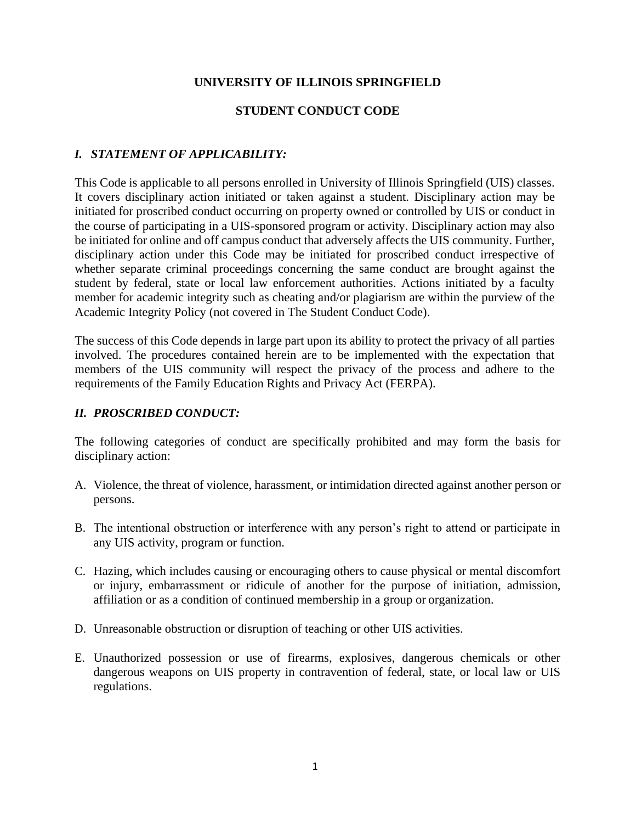### **UNIVERSITY OF ILLINOIS SPRINGFIELD**

### **STUDENT CONDUCT CODE**

### *I. STATEMENT OF APPLICABILITY:*

This Code is applicable to all persons enrolled in University of Illinois Springfield (UIS) classes. It covers disciplinary action initiated or taken against a student. Disciplinary action may be initiated for proscribed conduct occurring on property owned or controlled by UIS or conduct in the course of participating in a UIS-sponsored program or activity. Disciplinary action may also be initiated for online and off campus conduct that adversely affects the UIS community. Further, disciplinary action under this Code may be initiated for proscribed conduct irrespective of whether separate criminal proceedings concerning the same conduct are brought against the student by federal, state or local law enforcement authorities. Actions initiated by a faculty member for academic integrity such as cheating and/or plagiarism are within the purview of the Academic Integrity Policy (not covered in The Student Conduct Code).

The success of this Code depends in large part upon its ability to protect the privacy of all parties involved. The procedures contained herein are to be implemented with the expectation that members of the UIS community will respect the privacy of the process and adhere to the requirements of the Family Education Rights and Privacy Act (FERPA).

### *II. PROSCRIBED CONDUCT:*

The following categories of conduct are specifically prohibited and may form the basis for disciplinary action:

- A. Violence, the threat of violence, harassment, or intimidation directed against another person or persons.
- B. The intentional obstruction or interference with any person's right to attend or participate in any UIS activity, program or function.
- C. Hazing, which includes causing or encouraging others to cause physical or mental discomfort or injury, embarrassment or ridicule of another for the purpose of initiation, admission, affiliation or as a condition of continued membership in a group or organization.
- D. Unreasonable obstruction or disruption of teaching or other UIS activities.
- E. Unauthorized possession or use of firearms, explosives, dangerous chemicals or other dangerous weapons on UIS property in contravention of federal, state, or local law or UIS regulations.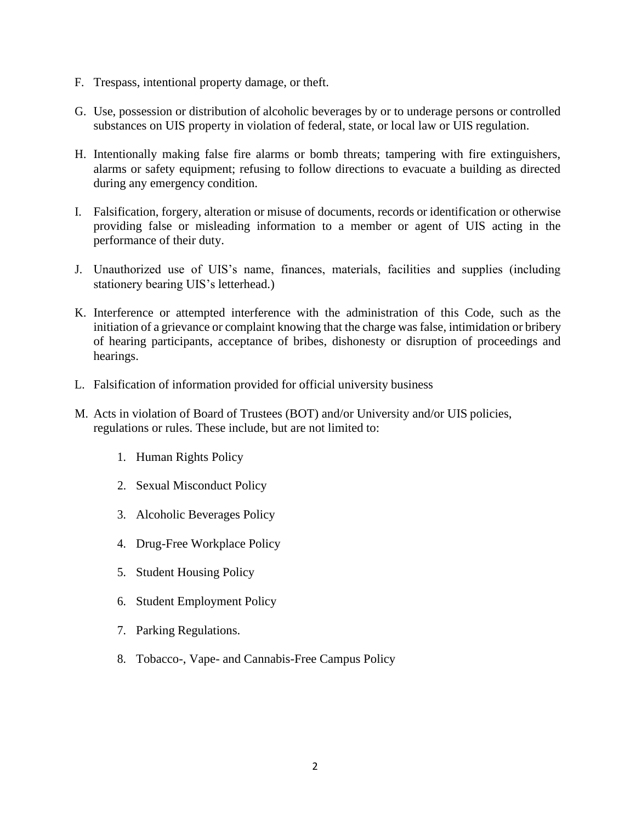- F. Trespass, intentional property damage, or theft.
- G. Use, possession or distribution of alcoholic beverages by or to underage persons or controlled substances on UIS property in violation of federal, state, or local law or UIS regulation.
- H. Intentionally making false fire alarms or bomb threats; tampering with fire extinguishers, alarms or safety equipment; refusing to follow directions to evacuate a building as directed during any emergency condition.
- I. Falsification, forgery, alteration or misuse of documents, records or identification or otherwise providing false or misleading information to a member or agent of UIS acting in the performance of their duty.
- J. Unauthorized use of UIS's name, finances, materials, facilities and supplies (including stationery bearing UIS's letterhead.)
- K. Interference or attempted interference with the administration of this Code, such as the initiation of a grievance or complaint knowing that the charge was false, intimidation or bribery of hearing participants, acceptance of bribes, dishonesty or disruption of proceedings and hearings.
- L. Falsification of information provided for official university business
- M. Acts in violation of Board of Trustees (BOT) and/or University and/or UIS policies, regulations or rules. These include, but are not limited to:
	- 1. Human Rights Policy
	- 2. Sexual Misconduct Policy
	- 3. Alcoholic Beverages Policy
	- 4. Drug-Free Workplace Policy
	- 5. Student Housing Policy
	- 6. Student Employment Policy
	- 7. Parking Regulations.
	- 8. Tobacco-, Vape- and Cannabis-Free Campus Policy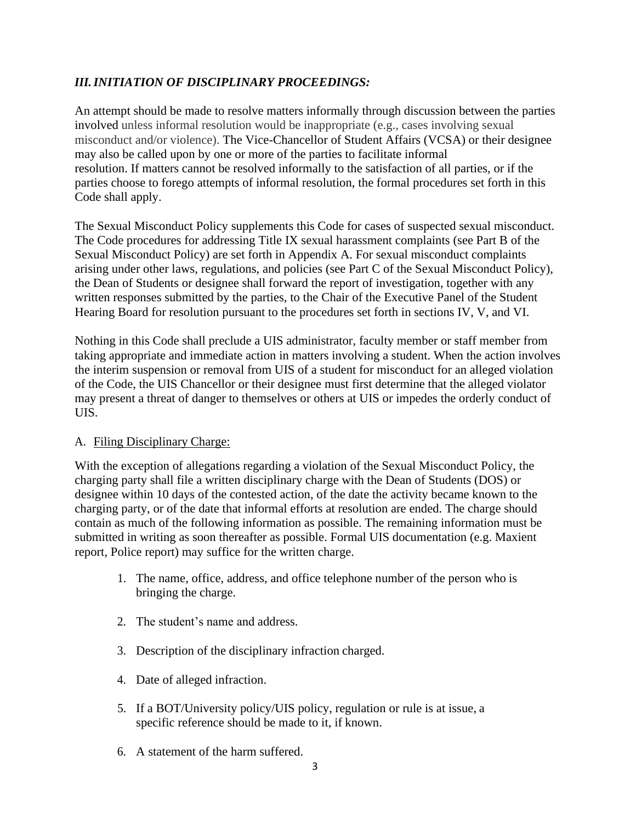# *III.INITIATION OF DISCIPLINARY PROCEEDINGS:*

An attempt should be made to resolve matters informally through discussion between the parties involved unless informal resolution would be inappropriate (e.g., cases involving sexual misconduct and/or violence). The Vice-Chancellor of Student Affairs (VCSA) or their designee may also be called upon by one or more of the parties to facilitate informal resolution. If matters cannot be resolved informally to the satisfaction of all parties, or if the parties choose to forego attempts of informal resolution, the formal procedures set forth in this Code shall apply.

The Sexual Misconduct Policy supplements this Code for cases of suspected sexual misconduct. The Code procedures for addressing Title IX sexual harassment complaints (see Part B of the Sexual Misconduct Policy) are set forth in Appendix A. For sexual misconduct complaints arising under other laws, regulations, and policies (see Part C of the Sexual Misconduct Policy), the Dean of Students or designee shall forward the report of investigation, together with any written responses submitted by the parties, to the Chair of the Executive Panel of the Student Hearing Board for resolution pursuant to the procedures set forth in sections IV, V, and VI.

Nothing in this Code shall preclude a UIS administrator, faculty member or staff member from taking appropriate and immediate action in matters involving a student. When the action involves the interim suspension or removal from UIS of a student for misconduct for an alleged violation of the Code, the UIS Chancellor or their designee must first determine that the alleged violator may present a threat of danger to themselves or others at UIS or impedes the orderly conduct of UIS.

## A. Filing Disciplinary Charge:

With the exception of allegations regarding a violation of the Sexual Misconduct Policy, the charging party shall file a written disciplinary charge with the Dean of Students (DOS) or designee within 10 days of the contested action, of the date the activity became known to the charging party, or of the date that informal efforts at resolution are ended. The charge should contain as much of the following information as possible. The remaining information must be submitted in writing as soon thereafter as possible. Formal UIS documentation (e.g. Maxient report, Police report) may suffice for the written charge.

- 1. The name, office, address, and office telephone number of the person who is bringing the charge.
- 2. The student's name and address.
- 3. Description of the disciplinary infraction charged.
- 4. Date of alleged infraction.
- 5. If a BOT/University policy/UIS policy, regulation or rule is at issue, a specific reference should be made to it, if known.
- 6. A statement of the harm suffered.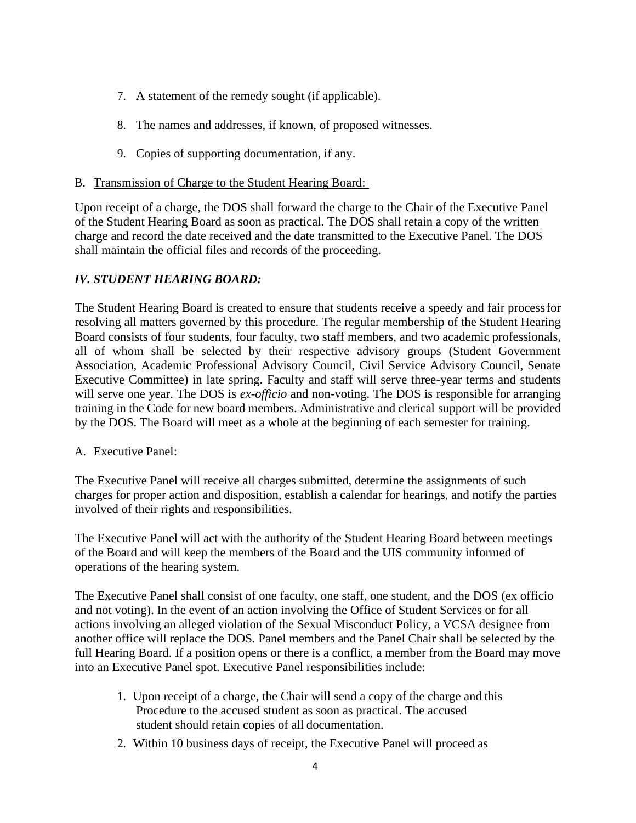- 7. A statement of the remedy sought (if applicable).
- 8. The names and addresses, if known, of proposed witnesses.
- 9. Copies of supporting documentation, if any.
- B. Transmission of Charge to the Student Hearing Board:

Upon receipt of a charge, the DOS shall forward the charge to the Chair of the Executive Panel of the Student Hearing Board as soon as practical. The DOS shall retain a copy of the written charge and record the date received and the date transmitted to the Executive Panel. The DOS shall maintain the official files and records of the proceeding.

# *IV. STUDENT HEARING BOARD:*

The Student Hearing Board is created to ensure that students receive a speedy and fair processfor resolving all matters governed by this procedure. The regular membership of the Student Hearing Board consists of four students, four faculty, two staff members, and two academic professionals, all of whom shall be selected by their respective advisory groups (Student Government Association, Academic Professional Advisory Council, Civil Service Advisory Council, Senate Executive Committee) in late spring. Faculty and staff will serve three-year terms and students will serve one year. The DOS is *ex-officio* and non-voting. The DOS is responsible for arranging training in the Code for new board members. Administrative and clerical support will be provided by the DOS. The Board will meet as a whole at the beginning of each semester for training.

A. Executive Panel:

The Executive Panel will receive all charges submitted, determine the assignments of such charges for proper action and disposition, establish a calendar for hearings, and notify the parties involved of their rights and responsibilities.

The Executive Panel will act with the authority of the Student Hearing Board between meetings of the Board and will keep the members of the Board and the UIS community informed of operations of the hearing system.

The Executive Panel shall consist of one faculty, one staff, one student, and the DOS (ex officio and not voting). In the event of an action involving the Office of Student Services or for all actions involving an alleged violation of the Sexual Misconduct Policy, a VCSA designee from another office will replace the DOS. Panel members and the Panel Chair shall be selected by the full Hearing Board. If a position opens or there is a conflict, a member from the Board may move into an Executive Panel spot. Executive Panel responsibilities include:

- 1. Upon receipt of a charge, the Chair will send a copy of the charge and this Procedure to the accused student as soon as practical. The accused student should retain copies of all documentation.
- 2. Within 10 business days of receipt, the Executive Panel will proceed as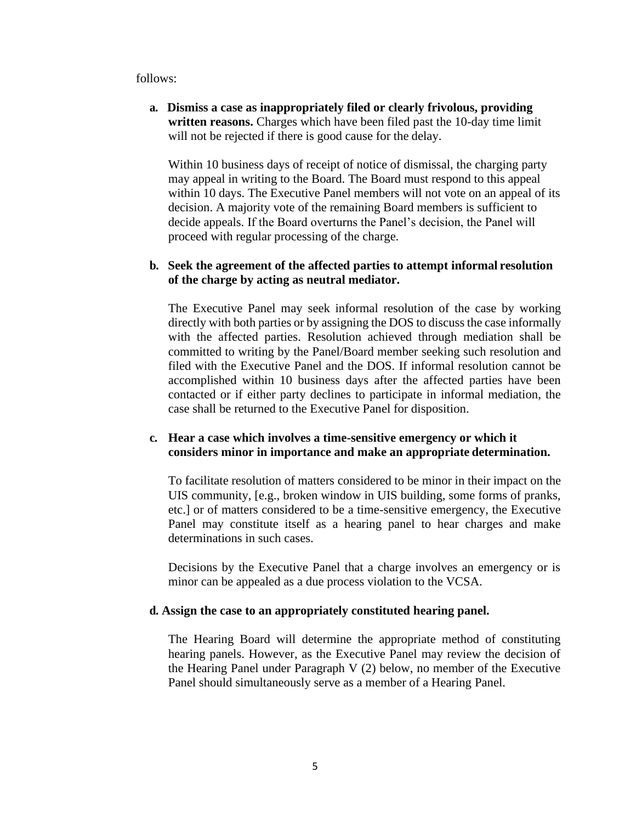follows:

**a. Dismiss a case as inappropriately filed or clearly frivolous, providing written reasons.** Charges which have been filed past the 10-day time limit will not be rejected if there is good cause for the delay.

Within 10 business days of receipt of notice of dismissal, the charging party may appeal in writing to the Board. The Board must respond to this appeal within 10 days. The Executive Panel members will not vote on an appeal of its decision. A majority vote of the remaining Board members is sufficient to decide appeals. If the Board overturns the Panel's decision, the Panel will proceed with regular processing of the charge.

### **b. Seek the agreement of the affected parties to attempt informal resolution of the charge by acting as neutral mediator.**

The Executive Panel may seek informal resolution of the case by working directly with both parties or by assigning the DOS to discuss the case informally with the affected parties. Resolution achieved through mediation shall be committed to writing by the Panel/Board member seeking such resolution and filed with the Executive Panel and the DOS. If informal resolution cannot be accomplished within 10 business days after the affected parties have been contacted or if either party declines to participate in informal mediation, the case shall be returned to the Executive Panel for disposition.

### **c. Hear a case which involves a time-sensitive emergency or which it considers minor in importance and make an appropriate determination.**

To facilitate resolution of matters considered to be minor in their impact on the UIS community, [e.g., broken window in UIS building, some forms of pranks, etc.] or of matters considered to be a time-sensitive emergency, the Executive Panel may constitute itself as a hearing panel to hear charges and make determinations in such cases.

Decisions by the Executive Panel that a charge involves an emergency or is minor can be appealed as a due process violation to the VCSA.

#### **d. Assign the case to an appropriately constituted hearing panel.**

The Hearing Board will determine the appropriate method of constituting hearing panels. However, as the Executive Panel may review the decision of the Hearing Panel under Paragraph V (2) below, no member of the Executive Panel should simultaneously serve as a member of a Hearing Panel.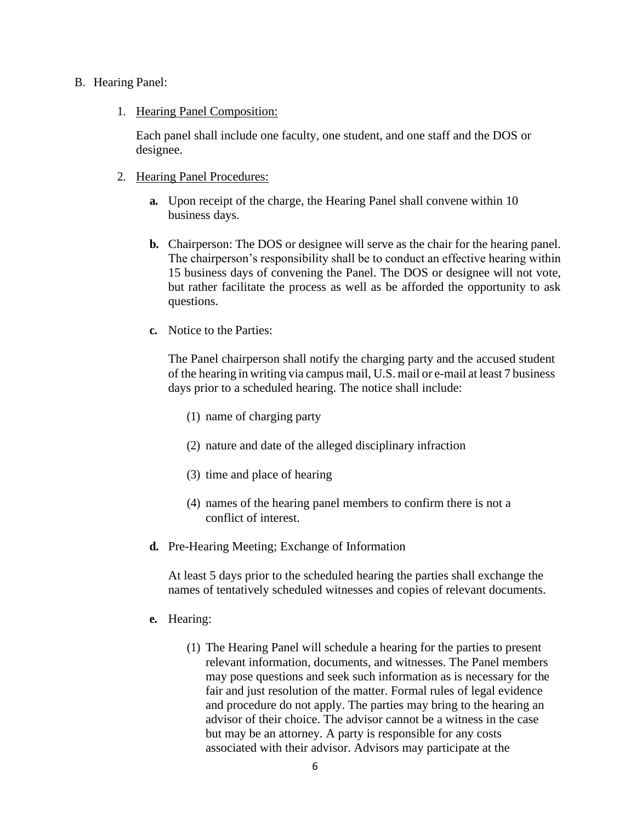#### B. Hearing Panel:

#### 1. Hearing Panel Composition:

Each panel shall include one faculty, one student, and one staff and the DOS or designee.

#### 2. Hearing Panel Procedures:

- **a.** Upon receipt of the charge, the Hearing Panel shall convene within 10 business days.
- **b.** Chairperson: The DOS or designee will serve as the chair for the hearing panel. The chairperson's responsibility shall be to conduct an effective hearing within 15 business days of convening the Panel. The DOS or designee will not vote, but rather facilitate the process as well as be afforded the opportunity to ask questions.
- **c.** Notice to the Parties:

The Panel chairperson shall notify the charging party and the accused student of the hearing in writing via campus mail, U.S. mail or e-mail at least 7 business days prior to a scheduled hearing. The notice shall include:

- (1) name of charging party
- (2) nature and date of the alleged disciplinary infraction
- (3) time and place of hearing
- (4) names of the hearing panel members to confirm there is not a conflict of interest.
- **d.** Pre-Hearing Meeting; Exchange of Information

At least 5 days prior to the scheduled hearing the parties shall exchange the names of tentatively scheduled witnesses and copies of relevant documents.

#### **e.** Hearing:

(1) The Hearing Panel will schedule a hearing for the parties to present relevant information, documents, and witnesses. The Panel members may pose questions and seek such information as is necessary for the fair and just resolution of the matter. Formal rules of legal evidence and procedure do not apply. The parties may bring to the hearing an advisor of their choice. The advisor cannot be a witness in the case but may be an attorney. A party is responsible for any costs associated with their advisor. Advisors may participate at the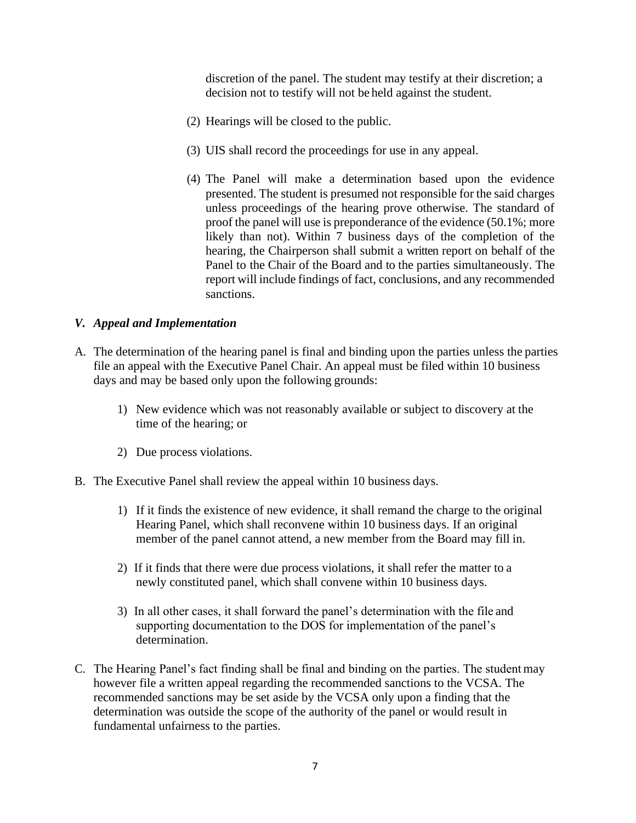discretion of the panel. The student may testify at their discretion; a decision not to testify will not be held against the student.

- (2) Hearings will be closed to the public.
- (3) UIS shall record the proceedings for use in any appeal.
- (4) The Panel will make a determination based upon the evidence presented. The student is presumed not responsible for the said charges unless proceedings of the hearing prove otherwise. The standard of proof the panel will use is preponderance of the evidence (50.1%; more likely than not). Within 7 business days of the completion of the hearing, the Chairperson shall submit a written report on behalf of the Panel to the Chair of the Board and to the parties simultaneously. The report will include findings of fact, conclusions, and any recommended sanctions.

### *V. Appeal and Implementation*

- A. The determination of the hearing panel is final and binding upon the parties unless the parties file an appeal with the Executive Panel Chair. An appeal must be filed within 10 business days and may be based only upon the following grounds:
	- 1) New evidence which was not reasonably available or subject to discovery at the time of the hearing; or
	- 2) Due process violations.
- B. The Executive Panel shall review the appeal within 10 business days.
	- 1) If it finds the existence of new evidence, it shall remand the charge to the original Hearing Panel, which shall reconvene within 10 business days. If an original member of the panel cannot attend, a new member from the Board may fill in.
	- 2) If it finds that there were due process violations, it shall refer the matter to a newly constituted panel, which shall convene within 10 business days.
	- 3) In all other cases, it shall forward the panel's determination with the file and supporting documentation to the DOS for implementation of the panel's determination.
- C. The Hearing Panel's fact finding shall be final and binding on the parties. The student may however file a written appeal regarding the recommended sanctions to the VCSA. The recommended sanctions may be set aside by the VCSA only upon a finding that the determination was outside the scope of the authority of the panel or would result in fundamental unfairness to the parties.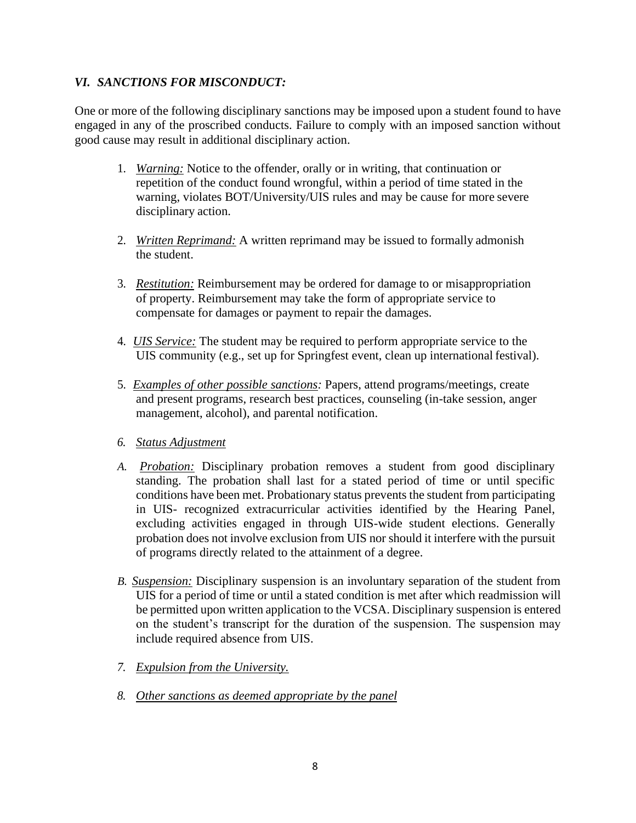## *VI. SANCTIONS FOR MISCONDUCT:*

One or more of the following disciplinary sanctions may be imposed upon a student found to have engaged in any of the proscribed conducts. Failure to comply with an imposed sanction without good cause may result in additional disciplinary action.

- 1. *Warning:* Notice to the offender, orally or in writing, that continuation or repetition of the conduct found wrongful, within a period of time stated in the warning, violates BOT/University/UIS rules and may be cause for more severe disciplinary action.
- 2. *Written Reprimand:* A written reprimand may be issued to formally admonish the student.
- 3. *Restitution:* Reimbursement may be ordered for damage to or misappropriation of property. Reimbursement may take the form of appropriate service to compensate for damages or payment to repair the damages.
- 4. *UIS Service:* The student may be required to perform appropriate service to the UIS community (e.g., set up for Springfest event, clean up international festival).
- 5. *Examples of other possible sanctions:* Papers, attend programs/meetings, create and present programs, research best practices, counseling (in-take session, anger management, alcohol), and parental notification.
- *6. Status Adjustment*
- *A. Probation:* Disciplinary probation removes a student from good disciplinary standing. The probation shall last for a stated period of time or until specific conditions have been met. Probationary status prevents the student from participating in UIS- recognized extracurricular activities identified by the Hearing Panel, excluding activities engaged in through UIS-wide student elections. Generally probation does not involve exclusion from UIS nor should it interfere with the pursuit of programs directly related to the attainment of a degree.
- *B. Suspension:* Disciplinary suspension is an involuntary separation of the student from UIS for a period of time or until a stated condition is met after which readmission will be permitted upon written application to the VCSA. Disciplinary suspension is entered on the student's transcript for the duration of the suspension. The suspension may include required absence from UIS.
- *7. Expulsion from the University.*
- *8. Other sanctions as deemed appropriate by the panel*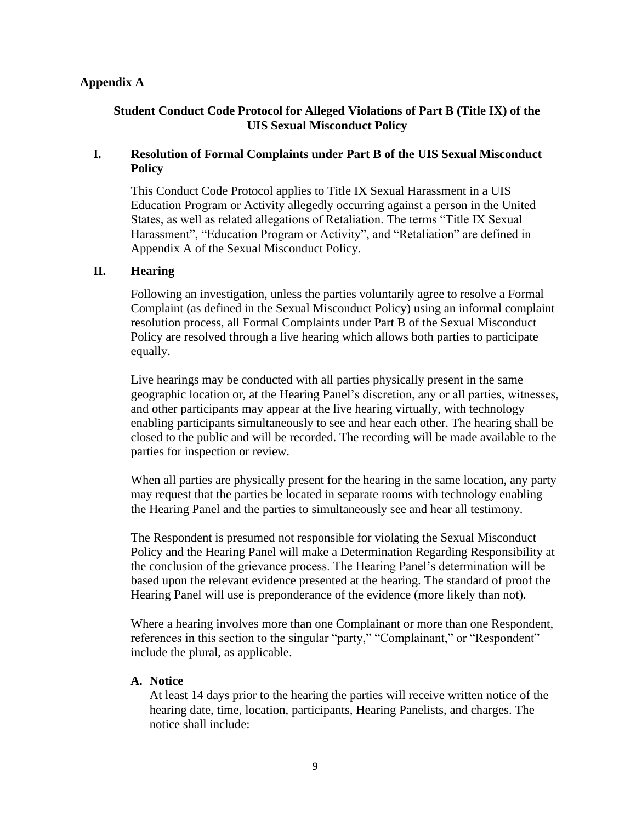### **Appendix A**

### **Student Conduct Code Protocol for Alleged Violations of Part B (Title IX) of the UIS Sexual Misconduct Policy**

## **I. Resolution of Formal Complaints under Part B of the UIS Sexual Misconduct Policy**

This Conduct Code Protocol applies to Title IX Sexual Harassment in a UIS Education Program or Activity allegedly occurring against a person in the United States, as well as related allegations of Retaliation. The terms "Title IX Sexual Harassment", "Education Program or Activity", and "Retaliation" are defined in Appendix A of the Sexual Misconduct Policy.

#### **II. Hearing**

Following an investigation, unless the parties voluntarily agree to resolve a Formal Complaint (as defined in the Sexual Misconduct Policy) using an informal complaint resolution process, all Formal Complaints under Part B of the Sexual Misconduct Policy are resolved through a live hearing which allows both parties to participate equally.

Live hearings may be conducted with all parties physically present in the same geographic location or, at the Hearing Panel's discretion, any or all parties, witnesses, and other participants may appear at the live hearing virtually, with technology enabling participants simultaneously to see and hear each other. The hearing shall be closed to the public and will be recorded. The recording will be made available to the parties for inspection or review.

When all parties are physically present for the hearing in the same location, any party may request that the parties be located in separate rooms with technology enabling the Hearing Panel and the parties to simultaneously see and hear all testimony.

The Respondent is presumed not responsible for violating the Sexual Misconduct Policy and the Hearing Panel will make a Determination Regarding Responsibility at the conclusion of the grievance process. The Hearing Panel's determination will be based upon the relevant evidence presented at the hearing. The standard of proof the Hearing Panel will use is preponderance of the evidence (more likely than not).

Where a hearing involves more than one Complainant or more than one Respondent, references in this section to the singular "party," "Complainant," or "Respondent" include the plural, as applicable.

### **A. Notice**

At least 14 days prior to the hearing the parties will receive written notice of the hearing date, time, location, participants, Hearing Panelists, and charges. The notice shall include: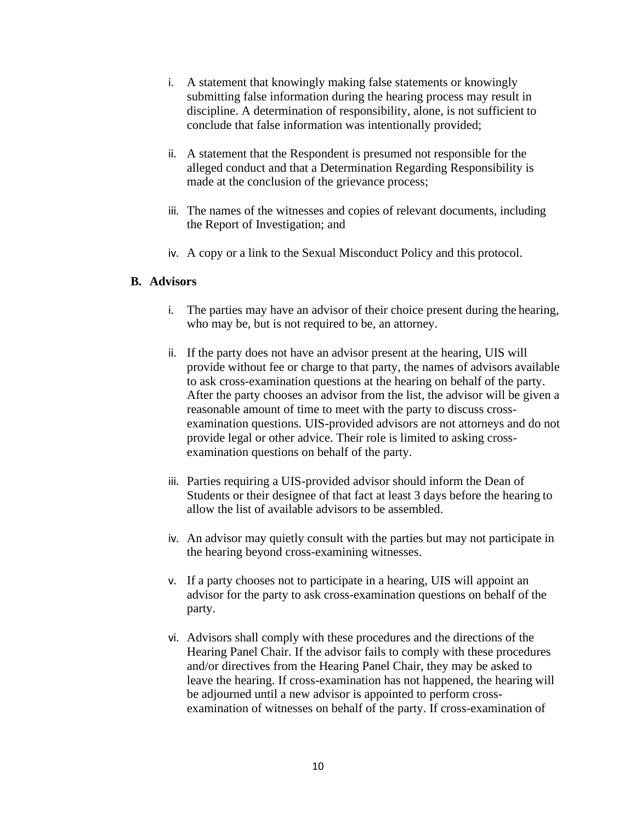- i. A statement that knowingly making false statements or knowingly submitting false information during the hearing process may result in discipline. A determination of responsibility, alone, is not sufficient to conclude that false information was intentionally provided;
- ii. A statement that the Respondent is presumed not responsible for the alleged conduct and that a Determination Regarding Responsibility is made at the conclusion of the grievance process;
- iii. The names of the witnesses and copies of relevant documents, including the Report of Investigation; and
- iv. A copy or a link to the Sexual Misconduct Policy and this protocol.

#### **B. Advisors**

- i. The parties may have an advisor of their choice present during the hearing, who may be, but is not required to be, an attorney.
- ii. If the party does not have an advisor present at the hearing, UIS will provide without fee or charge to that party, the names of advisors available to ask cross-examination questions at the hearing on behalf of the party. After the party chooses an advisor from the list, the advisor will be given a reasonable amount of time to meet with the party to discuss crossexamination questions. UIS-provided advisors are not attorneys and do not provide legal or other advice. Their role is limited to asking crossexamination questions on behalf of the party.
- iii. Parties requiring a UIS-provided advisor should inform the Dean of Students or their designee of that fact at least 3 days before the hearing to allow the list of available advisors to be assembled.
- iv. An advisor may quietly consult with the parties but may not participate in the hearing beyond cross-examining witnesses.
- v. If a party chooses not to participate in a hearing, UIS will appoint an advisor for the party to ask cross-examination questions on behalf of the party.
- vi. Advisors shall comply with these procedures and the directions of the Hearing Panel Chair. If the advisor fails to comply with these procedures and/or directives from the Hearing Panel Chair, they may be asked to leave the hearing. If cross-examination has not happened, the hearing will be adjourned until a new advisor is appointed to perform crossexamination of witnesses on behalf of the party. If cross-examination of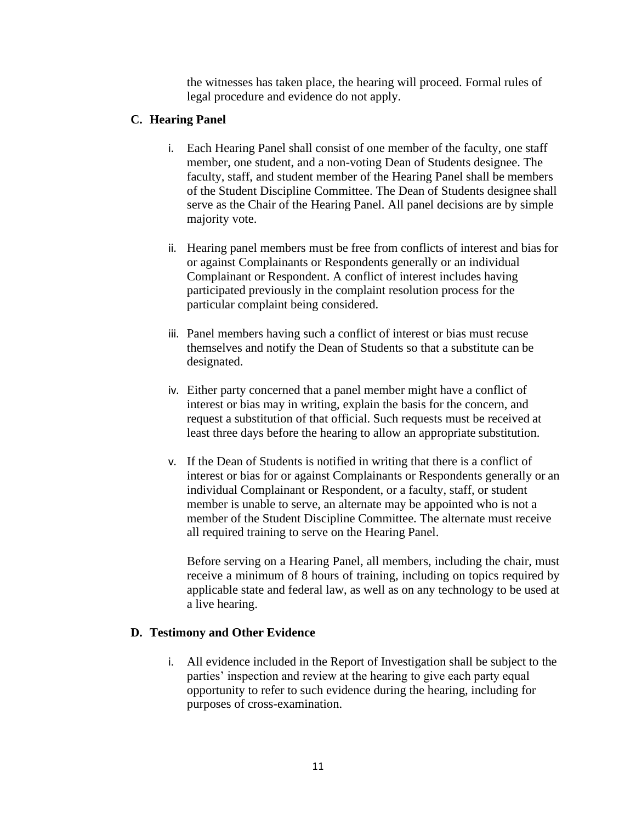the witnesses has taken place, the hearing will proceed. Formal rules of legal procedure and evidence do not apply.

## **C. Hearing Panel**

- i. Each Hearing Panel shall consist of one member of the faculty, one staff member, one student, and a non-voting Dean of Students designee. The faculty, staff, and student member of the Hearing Panel shall be members of the Student Discipline Committee. The Dean of Students designee shall serve as the Chair of the Hearing Panel. All panel decisions are by simple majority vote.
- ii. Hearing panel members must be free from conflicts of interest and bias for or against Complainants or Respondents generally or an individual Complainant or Respondent. A conflict of interest includes having participated previously in the complaint resolution process for the particular complaint being considered.
- iii. Panel members having such a conflict of interest or bias must recuse themselves and notify the Dean of Students so that a substitute can be designated.
- iv. Either party concerned that a panel member might have a conflict of interest or bias may in writing, explain the basis for the concern, and request a substitution of that official. Such requests must be received at least three days before the hearing to allow an appropriate substitution.
- v. If the Dean of Students is notified in writing that there is a conflict of interest or bias for or against Complainants or Respondents generally or an individual Complainant or Respondent, or a faculty, staff, or student member is unable to serve, an alternate may be appointed who is not a member of the Student Discipline Committee. The alternate must receive all required training to serve on the Hearing Panel.

Before serving on a Hearing Panel, all members, including the chair, must receive a minimum of 8 hours of training, including on topics required by applicable state and federal law, as well as on any technology to be used at a live hearing.

## **D. Testimony and Other Evidence**

i. All evidence included in the Report of Investigation shall be subject to the parties' inspection and review at the hearing to give each party equal opportunity to refer to such evidence during the hearing, including for purposes of cross-examination.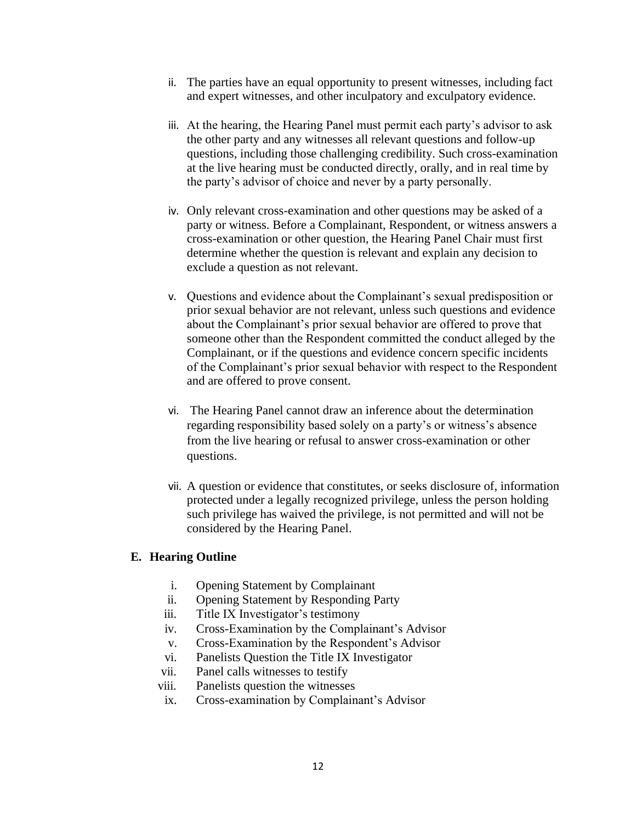- ii. The parties have an equal opportunity to present witnesses, including fact and expert witnesses, and other inculpatory and exculpatory evidence.
- iii. At the hearing, the Hearing Panel must permit each party's advisor to ask the other party and any witnesses all relevant questions and follow-up questions, including those challenging credibility. Such cross-examination at the live hearing must be conducted directly, orally, and in real time by the party's advisor of choice and never by a party personally.
- iv. Only relevant cross-examination and other questions may be asked of a party or witness. Before a Complainant, Respondent, or witness answers a cross-examination or other question, the Hearing Panel Chair must first determine whether the question is relevant and explain any decision to exclude a question as not relevant.
- v. Questions and evidence about the Complainant's sexual predisposition or prior sexual behavior are not relevant, unless such questions and evidence about the Complainant's prior sexual behavior are offered to prove that someone other than the Respondent committed the conduct alleged by the Complainant, or if the questions and evidence concern specific incidents of the Complainant's prior sexual behavior with respect to the Respondent and are offered to prove consent.
- vi. The Hearing Panel cannot draw an inference about the determination regarding responsibility based solely on a party's or witness's absence from the live hearing or refusal to answer cross-examination or other questions.
- vii. A question or evidence that constitutes, or seeks disclosure of, information protected under a legally recognized privilege, unless the person holding such privilege has waived the privilege, is not permitted and will not be considered by the Hearing Panel.

### **E. Hearing Outline**

- i. Opening Statement by Complainant
- ii. Opening Statement by Responding Party
- iii. Title IX Investigator's testimony
- iv. Cross-Examination by the Complainant's Advisor
- v. Cross-Examination by the Respondent's Advisor
- vi. Panelists Question the Title IX Investigator
- vii. Panel calls witnesses to testify
- viii. Panelists question the witnesses
- ix. Cross-examination by Complainant's Advisor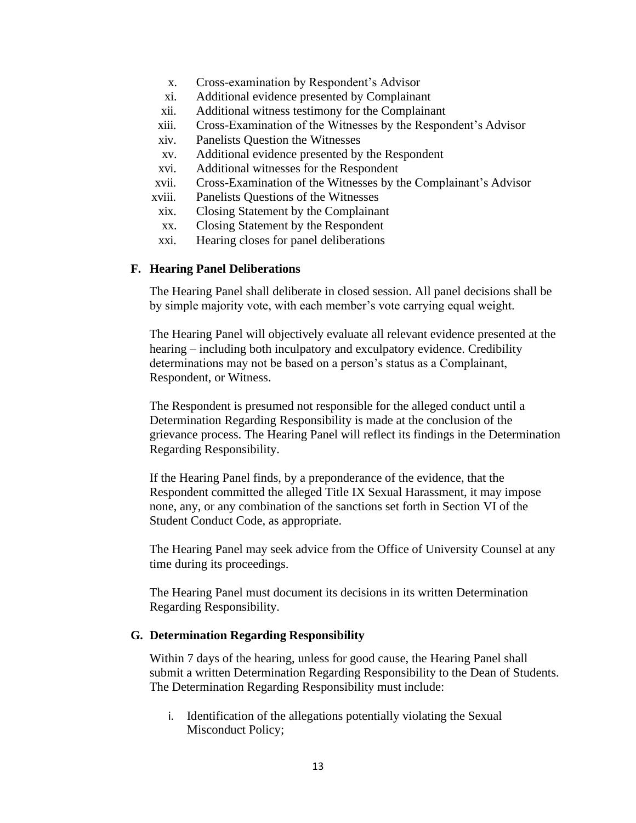- x. Cross-examination by Respondent's Advisor
- xi. Additional evidence presented by Complainant
- xii. Additional witness testimony for the Complainant
- xiii. Cross-Examination of the Witnesses by the Respondent's Advisor
- xiv. Panelists Question the Witnesses
- xv. Additional evidence presented by the Respondent
- xvi. Additional witnesses for the Respondent
- xvii. Cross-Examination of the Witnesses by the Complainant's Advisor
- xviii. Panelists Questions of the Witnesses
- xix. Closing Statement by the Complainant
- xx. Closing Statement by the Respondent
- xxi. Hearing closes for panel deliberations

#### **F. Hearing Panel Deliberations**

The Hearing Panel shall deliberate in closed session. All panel decisions shall be by simple majority vote, with each member's vote carrying equal weight.

The Hearing Panel will objectively evaluate all relevant evidence presented at the hearing – including both inculpatory and exculpatory evidence. Credibility determinations may not be based on a person's status as a Complainant, Respondent, or Witness.

The Respondent is presumed not responsible for the alleged conduct until a Determination Regarding Responsibility is made at the conclusion of the grievance process. The Hearing Panel will reflect its findings in the Determination Regarding Responsibility.

If the Hearing Panel finds, by a preponderance of the evidence, that the Respondent committed the alleged Title IX Sexual Harassment, it may impose none, any, or any combination of the sanctions set forth in Section VI of the Student Conduct Code, as appropriate.

The Hearing Panel may seek advice from the Office of University Counsel at any time during its proceedings.

The Hearing Panel must document its decisions in its written Determination Regarding Responsibility.

### **G. Determination Regarding Responsibility**

Within 7 days of the hearing, unless for good cause, the Hearing Panel shall submit a written Determination Regarding Responsibility to the Dean of Students. The Determination Regarding Responsibility must include:

i. Identification of the allegations potentially violating the Sexual Misconduct Policy;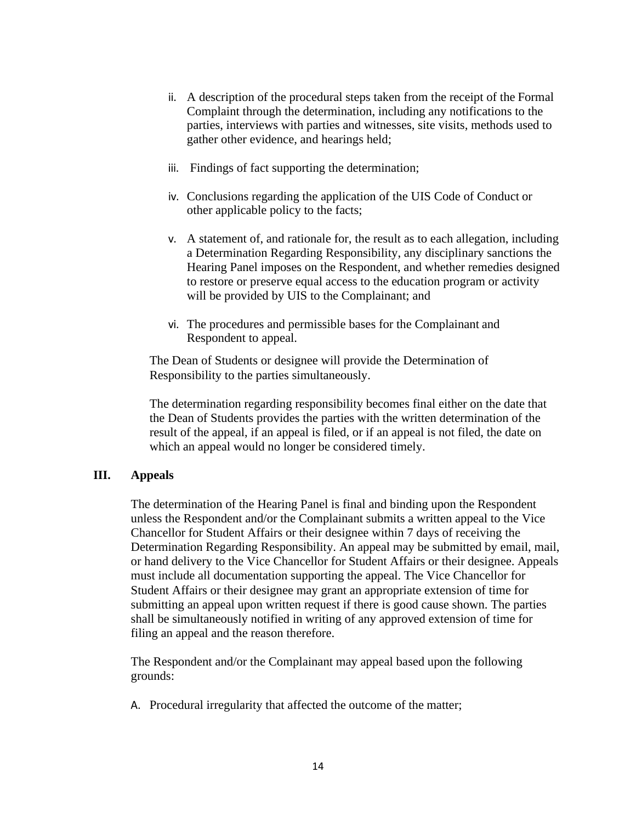- ii. A description of the procedural steps taken from the receipt of the Formal Complaint through the determination, including any notifications to the parties, interviews with parties and witnesses, site visits, methods used to gather other evidence, and hearings held;
- iii. Findings of fact supporting the determination;
- iv. Conclusions regarding the application of the UIS Code of Conduct or other applicable policy to the facts;
- v. A statement of, and rationale for, the result as to each allegation, including a Determination Regarding Responsibility, any disciplinary sanctions the Hearing Panel imposes on the Respondent, and whether remedies designed to restore or preserve equal access to the education program or activity will be provided by UIS to the Complainant; and
- vi. The procedures and permissible bases for the Complainant and Respondent to appeal.

The Dean of Students or designee will provide the Determination of Responsibility to the parties simultaneously.

The determination regarding responsibility becomes final either on the date that the Dean of Students provides the parties with the written determination of the result of the appeal, if an appeal is filed, or if an appeal is not filed, the date on which an appeal would no longer be considered timely.

### **III. Appeals**

The determination of the Hearing Panel is final and binding upon the Respondent unless the Respondent and/or the Complainant submits a written appeal to the Vice Chancellor for Student Affairs or their designee within 7 days of receiving the Determination Regarding Responsibility. An appeal may be submitted by email, mail, or hand delivery to the Vice Chancellor for Student Affairs or their designee. Appeals must include all documentation supporting the appeal. The Vice Chancellor for Student Affairs or their designee may grant an appropriate extension of time for submitting an appeal upon written request if there is good cause shown. The parties shall be simultaneously notified in writing of any approved extension of time for filing an appeal and the reason therefore.

The Respondent and/or the Complainant may appeal based upon the following grounds:

A. Procedural irregularity that affected the outcome of the matter;